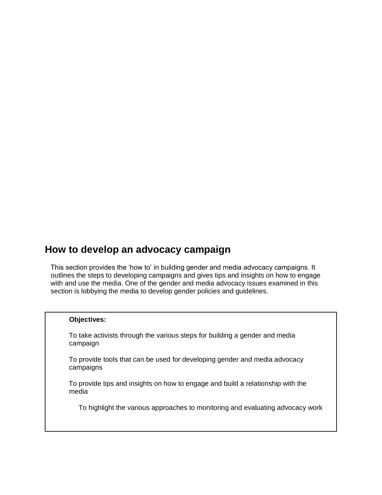# **How to develop an advocacy campaign**

This section provides the 'how to' in building gender and media advocacy campaigns. It outlines the steps to developing campaigns and gives tips and insights on how to engage with and use the media. One of the gender and media advocacy issues examined in this section is lobbying the media to develop gender policies and guidelines.

## **Objectives:**

To take activists through the various steps for building a gender and media campaign

To provide tools that can be used for developing gender and media advocacy campaigns

To provide tips and insights on how to engage and build a relationship with the media

To highlight the various approaches to monitoring and evaluating advocacy work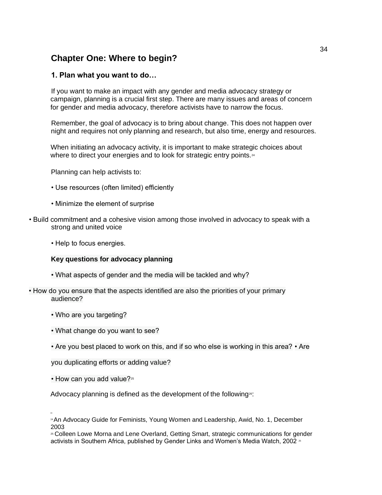## **Chapter One: Where to begin?**

## **1. Plan what you want to do…**

If you want to make an impact with any gender and media advocacy strategy or campaign, planning is a crucial first step. There are many issues and areas of concern for gender and media advocacy, therefore activists have to narrow the focus.

Remember, the goal of advocacy is to bring about change. This does not happen over night and requires not only planning and research, but also time, energy and resources.

When initiating an advocacy activity, it is important to make strategic choices about where to direct your energies and to look for strategic entry points.<sup>24</sup>

Planning can help activists to:

- Use resources (often limited) efficiently
- Minimize the element of surprise
- Build commitment and a cohesive vision among those involved in advocacy to speak with a strong and united voice
	- Help to focus energies.

## **Key questions for advocacy planning**

- What aspects of gender and the media will be tackled and why?
- How do you ensure that the aspects identified are also the priorities of your primary audience?
	- Who are you targeting?
	- What change do you want to see?
	- Are you best placed to work on this, and if so who else is working in this area? Are

you duplicating efforts or adding value?

• How can you add value?<sup>25</sup>

Advocacy planning is defined as the development of the following<sup>26</sup>:

<sup>&</sup>lt;sup>24</sup> An Advocacy Guide for Feminists, Young Women and Leadership, Awid, No. 1, December 2003

<sup>25</sup> Colleen Lowe Morna and Lene Overland, Getting Smart, strategic communications for gender activists in Southern Africa, published by Gender Links and Women's Media Watch, 2002 <sup>36</sup>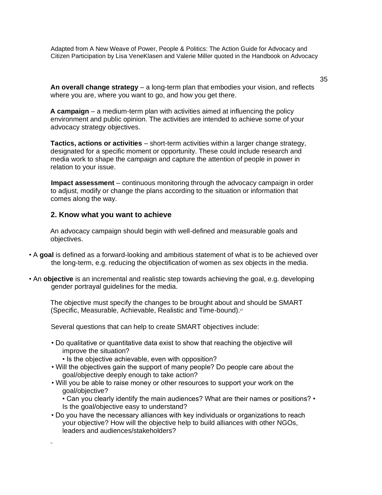Adapted from A New Weave of Power, People & Politics: The Action Guide for Advocacy and Citizen Participation by Lisa VeneKlasen and Valerie Miller quoted in the Handbook on Advocacy

35

**An overall change strategy** – a long-term plan that embodies your vision, and reflects where you are, where you want to go, and how you get there.

**A campaign** – a medium-term plan with activities aimed at influencing the policy environment and public opinion. The activities are intended to achieve some of your advocacy strategy objectives.

**Tactics, actions or activities** – short-term activities within a larger change strategy, designated for a specific moment or opportunity. These could include research and media work to shape the campaign and capture the attention of people in power in relation to your issue.

**Impact assessment** – continuous monitoring through the advocacy campaign in order to adjust, modify or change the plans according to the situation or information that comes along the way.

## **2. Know what you want to achieve**

An advocacy campaign should begin with well-defined and measurable goals and objectives.

- A **goal** is defined as a forward-looking and ambitious statement of what is to be achieved over the long-term, e.g. reducing the objectification of women as sex objects in the media.
- An **objective** is an incremental and realistic step towards achieving the goal, e.g. developing gender portrayal guidelines for the media.

The objective must specify the changes to be brought about and should be SMART (Specific, Measurable, Achievable, Realistic and Time-bound).<sup>27</sup>

Several questions that can help to create SMART objectives include:

- Do qualitative or quantitative data exist to show that reaching the objective will improve the situation?
	- Is the objective achievable, even with opposition?
- Will the objectives gain the support of many people? Do people care about the goal/objective deeply enough to take action?
- Will you be able to raise money or other resources to support your work on the goal/objective?

• Can you clearly identify the main audiences? What are their names or positions? • Is the goal/objective easy to understand?

• Do you have the necessary alliances with key individuals or organizations to reach your objective? How will the objective help to build alliances with other NGOs, leaders and audiences/stakeholders?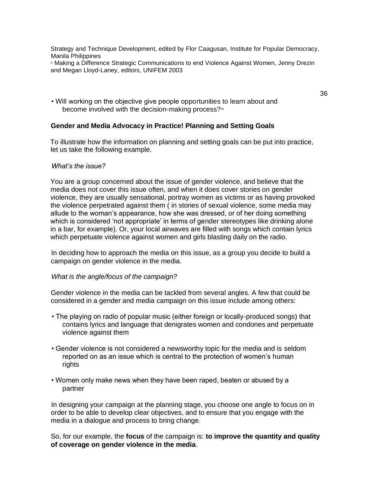Strategy and Technique Development, edited by Flor Caagusan, Institute for Popular Democracy, Manila Philippines

<sup>27</sup> Making a Difference Strategic Communications to end Violence Against Women, Jenny Drezin and Megan Lloyd-Laney, editors, UNIFEM 2003

• Will working on the objective give people opportunities to learn about and become involved with the decision-making process?<sup>28</sup>

#### **Gender and Media Advocacy in Practice! Planning and Setting Goals**

To illustrate how the information on planning and setting goals can be put into practice, let us take the following example.

#### *What's the issue?*

You are a group concerned about the issue of gender violence, and believe that the media does not cover this issue often, and when it does cover stories on gender violence, they are usually sensational, portray women as victims or as having provoked the violence perpetrated against them ( in stories of sexual violence, some media may allude to the woman's appearance, how she was dressed, or of her doing something which is considered 'not appropriate' in terms of gender stereotypes like drinking alone in a bar, for example). Or, your local airwaves are filled with songs which contain lyrics which perpetuate violence against women and girls blasting daily on the radio.

In deciding how to approach the media on this issue, as a group you decide to build a campaign on gender violence in the media.

#### *What is the angle/focus of the campaign?*

Gender violence in the media can be tackled from several angles. A few that could be considered in a gender and media campaign on this issue include among others:

- The playing on radio of popular music (either foreign or locally-produced songs) that contains lyrics and language that denigrates women and condones and perpetuate violence against them
- Gender violence is not considered a newsworthy topic for the media and is seldom reported on as an issue which is central to the protection of women's human rights
- Women only make news when they have been raped, beaten or abused by a partner

In designing your campaign at the planning stage, you choose one angle to focus on in order to be able to develop clear objectives, and to ensure that you engage with the media in a dialogue and process to bring change.

So, for our example, the **focus** of the campaign is: **to improve the quantity and quality of coverage on gender violence in the media**.